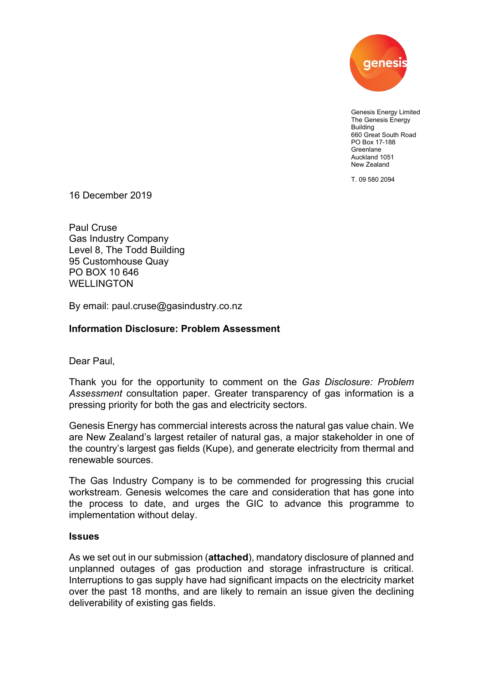

Genesis Energy Limited The Genesis Energy Building 660 Great South Road PO Box 17-188 Greenlane Auckland 1051 New Zealand

T. 09 580 2094

16 December 2019

Paul Cruse Gas Industry Company Level 8, The Todd Building 95 Customhouse Quay PO BOX 10 646 WELLINGTON

By email: paul.cruse@gasindustry.co.nz

## **Information Disclosure: Problem Assessment**

Dear Paul,

Thank you for the opportunity to comment on the *Gas Disclosure: Problem Assessment* consultation paper. Greater transparency of gas information is a pressing priority for both the gas and electricity sectors.

Genesis Energy has commercial interests across the natural gas value chain. We are New Zealand's largest retailer of natural gas, a major stakeholder in one of the country's largest gas fields (Kupe), and generate electricity from thermal and renewable sources.

The Gas Industry Company is to be commended for progressing this crucial workstream. Genesis welcomes the care and consideration that has gone into the process to date, and urges the GIC to advance this programme to implementation without delay.

## **Issues**

As we set out in our submission (**attached**), mandatory disclosure of planned and unplanned outages of gas production and storage infrastructure is critical. Interruptions to gas supply have had significant impacts on the electricity market over the past 18 months, and are likely to remain an issue given the declining deliverability of existing gas fields.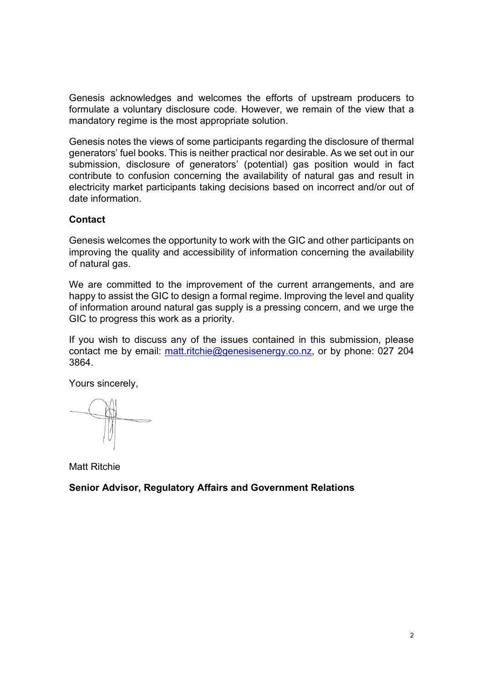Genesis acknowledges and welcomes the efforts of upstream producers to formulate a voluntary disclosure code. However, we remain of the view that a mandatory regime is the most appropriate solution.

Genesis notes the views of some participants regarding the disclosure of thermal generators' fuel books. This is neither practical nor desirable. As we set out in our submission, disclosure of generators' (potential) gas position would in fact contribute to confusion concerning the availability of natural gas and result in electricity market participants taking decisions based on incorrect and/or out of date information.

## **Contact**

Genesis welcomes the opportunity to work with the GIC and other participants on improving the quality and accessibility of information concerning the availability of natural gas.

We are committed to the improvement of the current arrangements, and are happy to assist the GIC to design a formal regime. Improving the level and quality of information around natural gas supply is a pressing concern, and we urge the GIC to progress this work as a priority.

If you wish to discuss any of the issues contained in this submission, please contact me by email: [matt.ritchie@genesisenergy.co.nz,](mailto:matt.ritchie@genesisenergy.co.nz) or by phone: 027 204 3864.

Yours sincerely,

Matt Ritchie

**Senior Advisor, Regulatory Affairs and Government Relations**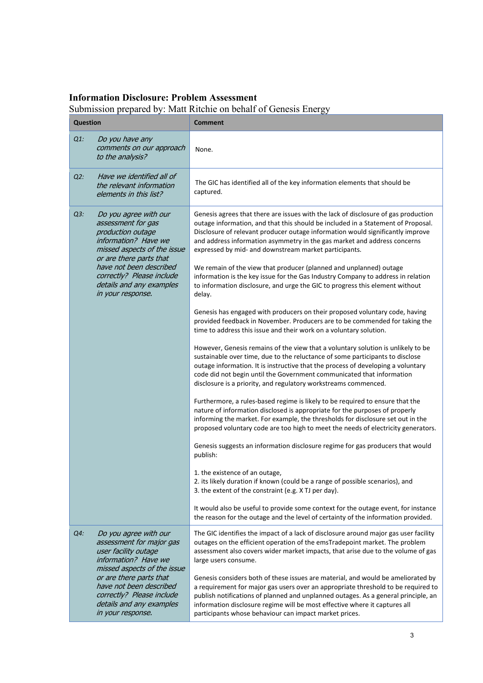## **Information Disclosure: Problem Assessment**

Submission prepared by: Matt Ritchie on behalf of Genesis Energy

| <b>Question</b> |                                                                                                                                                                                                                                                             | ວມ<br><b>Comment</b>                                                                                                                                                                                                                                                                                                                                                                                |
|-----------------|-------------------------------------------------------------------------------------------------------------------------------------------------------------------------------------------------------------------------------------------------------------|-----------------------------------------------------------------------------------------------------------------------------------------------------------------------------------------------------------------------------------------------------------------------------------------------------------------------------------------------------------------------------------------------------|
| $Q1$ :          | Do you have any<br>comments on our approach<br>to the analysis?                                                                                                                                                                                             | None.                                                                                                                                                                                                                                                                                                                                                                                               |
| $Q2$ :          | Have we identified all of<br>the relevant information<br>elements in this list?                                                                                                                                                                             | The GIC has identified all of the key information elements that should be<br>captured.                                                                                                                                                                                                                                                                                                              |
| $Q3$ :          | Do you agree with our<br>assessment for gas<br>production outage<br>information? Have we<br>missed aspects of the issue<br>or are there parts that<br>have not been described<br>correctly? Please include<br>details and any examples<br>in your response. | Genesis agrees that there are issues with the lack of disclosure of gas production<br>outage information, and that this should be included in a Statement of Proposal.<br>Disclosure of relevant producer outage information would significantly improve<br>and address information asymmetry in the gas market and address concerns<br>expressed by mid- and downstream market participants.       |
|                 |                                                                                                                                                                                                                                                             | We remain of the view that producer (planned and unplanned) outage<br>information is the key issue for the Gas Industry Company to address in relation<br>to information disclosure, and urge the GIC to progress this element without<br>delay.                                                                                                                                                    |
|                 |                                                                                                                                                                                                                                                             | Genesis has engaged with producers on their proposed voluntary code, having<br>provided feedback in November. Producers are to be commended for taking the<br>time to address this issue and their work on a voluntary solution.                                                                                                                                                                    |
|                 |                                                                                                                                                                                                                                                             | However, Genesis remains of the view that a voluntary solution is unlikely to be<br>sustainable over time, due to the reluctance of some participants to disclose<br>outage information. It is instructive that the process of developing a voluntary<br>code did not begin until the Government communicated that information<br>disclosure is a priority, and regulatory workstreams commenced.   |
|                 |                                                                                                                                                                                                                                                             | Furthermore, a rules-based regime is likely to be required to ensure that the<br>nature of information disclosed is appropriate for the purposes of properly<br>informing the market. For example, the thresholds for disclosure set out in the<br>proposed voluntary code are too high to meet the needs of electricity generators.                                                                |
|                 |                                                                                                                                                                                                                                                             | Genesis suggests an information disclosure regime for gas producers that would<br>publish:                                                                                                                                                                                                                                                                                                          |
|                 |                                                                                                                                                                                                                                                             | 1. the existence of an outage,<br>2. its likely duration if known (could be a range of possible scenarios), and<br>3. the extent of the constraint (e.g. X TJ per day).                                                                                                                                                                                                                             |
|                 |                                                                                                                                                                                                                                                             | It would also be useful to provide some context for the outage event, for instance<br>the reason for the outage and the level of certainty of the information provided.                                                                                                                                                                                                                             |
| $Q4$ :          | Do you agree with our<br>assessment for major gas<br>user facility outage<br>information? Have we<br>missed aspects of the issue                                                                                                                            | The GIC identifies the impact of a lack of disclosure around major gas user facility<br>outages on the efficient operation of the emsTradepoint market. The problem<br>assessment also covers wider market impacts, that arise due to the volume of gas<br>large users consume.                                                                                                                     |
|                 | or are there parts that<br>have not been described<br>correctly? Please include<br>details and any examples<br>in your response.                                                                                                                            | Genesis considers both of these issues are material, and would be ameliorated by<br>a requirement for major gas users over an appropriate threshold to be required to<br>publish notifications of planned and unplanned outages. As a general principle, an<br>information disclosure regime will be most effective where it captures all<br>participants whose behaviour can impact market prices. |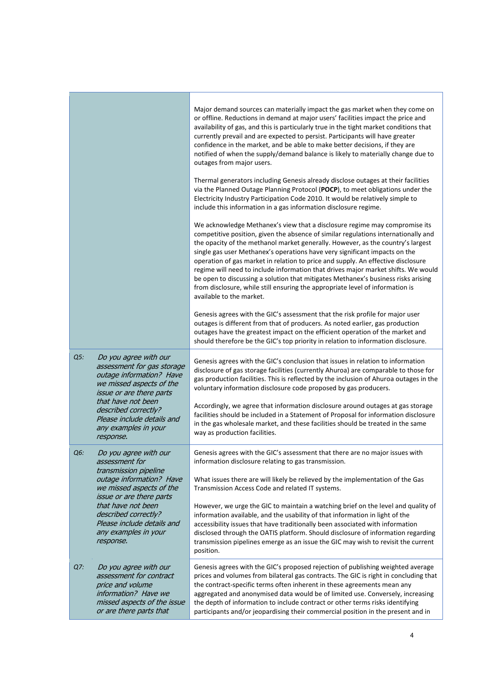|        |                                                                                                                                                               | Major demand sources can materially impact the gas market when they come on<br>or offline. Reductions in demand at major users' facilities impact the price and<br>availability of gas, and this is particularly true in the tight market conditions that<br>currently prevail and are expected to persist. Participants will have greater<br>confidence in the market, and be able to make better decisions, if they are<br>notified of when the supply/demand balance is likely to materially change due to<br>outages from major users.<br>Thermal generators including Genesis already disclose outages at their facilities                                                                              |
|--------|---------------------------------------------------------------------------------------------------------------------------------------------------------------|--------------------------------------------------------------------------------------------------------------------------------------------------------------------------------------------------------------------------------------------------------------------------------------------------------------------------------------------------------------------------------------------------------------------------------------------------------------------------------------------------------------------------------------------------------------------------------------------------------------------------------------------------------------------------------------------------------------|
|        |                                                                                                                                                               | via the Planned Outage Planning Protocol (POCP), to meet obligations under the<br>Electricity Industry Participation Code 2010. It would be relatively simple to<br>include this information in a gas information disclosure regime.                                                                                                                                                                                                                                                                                                                                                                                                                                                                         |
|        |                                                                                                                                                               | We acknowledge Methanex's view that a disclosure regime may compromise its<br>competitive position, given the absence of similar regulations internationally and<br>the opacity of the methanol market generally. However, as the country's largest<br>single gas user Methanex's operations have very significant impacts on the<br>operation of gas market in relation to price and supply. An effective disclosure<br>regime will need to include information that drives major market shifts. We would<br>be open to discussing a solution that mitigates Methanex's business risks arising<br>from disclosure, while still ensuring the appropriate level of information is<br>available to the market. |
|        |                                                                                                                                                               | Genesis agrees with the GIC's assessment that the risk profile for major user<br>outages is different from that of producers. As noted earlier, gas production<br>outages have the greatest impact on the efficient operation of the market and<br>should therefore be the GIC's top priority in relation to information disclosure.                                                                                                                                                                                                                                                                                                                                                                         |
| $Q5$ : | Do you agree with our<br>assessment for gas storage<br>outage information? Have<br>we missed aspects of the<br>issue or are there parts<br>that have not been | Genesis agrees with the GIC's conclusion that issues in relation to information<br>disclosure of gas storage facilities (currently Ahuroa) are comparable to those for<br>gas production facilities. This is reflected by the inclusion of Ahuroa outages in the<br>voluntary information disclosure code proposed by gas producers.                                                                                                                                                                                                                                                                                                                                                                         |
|        | described correctly?<br>Please include details and<br>any examples in your<br>response.                                                                       | Accordingly, we agree that information disclosure around outages at gas storage<br>facilities should be included in a Statement of Proposal for information disclosure<br>in the gas wholesale market, and these facilities should be treated in the same<br>way as production facilities.                                                                                                                                                                                                                                                                                                                                                                                                                   |
| Q6:    | Do you agree with our<br>assessment for<br>transmission pipeline                                                                                              | Genesis agrees with the GIC's assessment that there are no major issues with<br>information disclosure relating to gas transmission.                                                                                                                                                                                                                                                                                                                                                                                                                                                                                                                                                                         |
|        | outage information? Have<br>we missed aspects of the<br>issue or are there parts                                                                              | What issues there are will likely be relieved by the implementation of the Gas<br>Transmission Access Code and related IT systems.                                                                                                                                                                                                                                                                                                                                                                                                                                                                                                                                                                           |
|        | that have not been<br>described correctly?<br>Please include details and<br>any examples in your<br>response.                                                 | However, we urge the GIC to maintain a watching brief on the level and quality of<br>information available, and the usability of that information in light of the<br>accessibility issues that have traditionally been associated with information<br>disclosed through the OATIS platform. Should disclosure of information regarding<br>transmission pipelines emerge as an issue the GIC may wish to revisit the current<br>position.                                                                                                                                                                                                                                                                     |
| Q7:    | Do you agree with our<br>assessment for contract<br>price and volume<br>information? Have we<br>missed aspects of the issue<br>or are there parts that        | Genesis agrees with the GIC's proposed rejection of publishing weighted average<br>prices and volumes from bilateral gas contracts. The GIC is right in concluding that<br>the contract-specific terms often inherent in these agreements mean any<br>aggregated and anonymised data would be of limited use. Conversely, increasing<br>the depth of information to include contract or other terms risks identifying<br>participants and/or jeopardising their commercial position in the present and in                                                                                                                                                                                                    |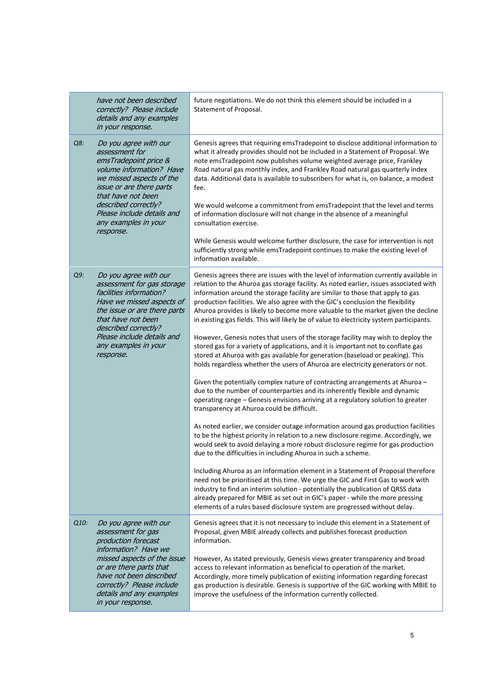|      | have not been described<br>correctly? Please include<br>details and any examples<br>in your response.                                                                                                                                                        | future negotiations. We do not think this element should be included in a<br>Statement of Proposal.                                                                                                                                                                                                                                                                                                                                                                                                                                |
|------|--------------------------------------------------------------------------------------------------------------------------------------------------------------------------------------------------------------------------------------------------------------|------------------------------------------------------------------------------------------------------------------------------------------------------------------------------------------------------------------------------------------------------------------------------------------------------------------------------------------------------------------------------------------------------------------------------------------------------------------------------------------------------------------------------------|
| Q8:  | Do you agree with our<br>assessment for<br>emsTradepoint price &<br>volume information? Have<br>we missed aspects of the<br>issue or are there parts<br>that have not been<br>described correctly?                                                           | Genesis agrees that requiring emsTradepoint to disclose additional information to<br>what it already provides should not be included in a Statement of Proposal. We<br>note emsTradepoint now publishes volume weighted average price, Frankley<br>Road natural gas monthly index, and Frankley Road natural gas quarterly index<br>data. Additional data is available to subscribers for what is, on balance, a modest<br>fee.<br>We would welcome a commitment from emsTradepoint that the level and terms                       |
|      | Please include details and<br>any examples in your<br>response.                                                                                                                                                                                              | of information disclosure will not change in the absence of a meaningful<br>consultation exercise.                                                                                                                                                                                                                                                                                                                                                                                                                                 |
|      |                                                                                                                                                                                                                                                              | While Genesis would welcome further disclosure, the case for intervention is not<br>sufficiently strong while emsTradepoint continues to make the existing level of<br>information available.                                                                                                                                                                                                                                                                                                                                      |
| Q9:  | Do you agree with our<br>assessment for gas storage<br>facilities information?<br>Have we missed aspects of<br>the issue or are there parts<br>that have not been<br>described correctly?<br>Please include details and<br>any examples in your<br>response. | Genesis agrees there are issues with the level of information currently available in<br>relation to the Ahuroa gas storage facility. As noted earlier, issues associated with<br>information around the storage facility are similar to those that apply to gas<br>production facilities. We also agree with the GIC's conclusion the flexibility<br>Ahuroa provides is likely to become more valuable to the market given the decline<br>in existing gas fields. This will likely be of value to electricity system participants. |
|      |                                                                                                                                                                                                                                                              | However, Genesis notes that users of the storage facility may wish to deploy the<br>stored gas for a variety of applications, and it is important not to conflate gas<br>stored at Ahuroa with gas available for generation (baseload or peaking). This<br>holds regardless whether the users of Ahuroa are electricity generators or not.                                                                                                                                                                                         |
|      |                                                                                                                                                                                                                                                              | Given the potentially complex nature of contracting arrangements at Ahuroa -<br>due to the number of counterparties and its inherently flexible and dynamic<br>operating range - Genesis envisions arriving at a regulatory solution to greater<br>transparency at Ahuroa could be difficult.                                                                                                                                                                                                                                      |
|      |                                                                                                                                                                                                                                                              | As noted earlier, we consider outage information around gas production facilities<br>to be the highest priority in relation to a new disclosure regime. Accordingly, we<br>would seek to avoid delaying a more robust disclosure regime for gas production<br>due to the difficulties in including Ahuroa in such a scheme.                                                                                                                                                                                                        |
|      |                                                                                                                                                                                                                                                              | Including Ahuroa as an information element in a Statement of Proposal therefore<br>need not be prioritised at this time. We urge the GIC and First Gas to work with<br>industry to find an interim solution - potentially the publication of QRSS data<br>already prepared for MBIE as set out in GIC's paper - while the more pressing<br>elements of a rules based disclosure system are progressed without delay.                                                                                                               |
| Q10: | Do you agree with our<br>assessment for gas<br>production forecast<br>information? Have we                                                                                                                                                                   | Genesis agrees that it is not necessary to include this element in a Statement of<br>Proposal, given MBIE already collects and publishes forecast production<br>information.                                                                                                                                                                                                                                                                                                                                                       |
|      | missed aspects of the issue<br>or are there parts that<br>have not been described<br>correctly? Please include<br>details and any examples<br>in your response.                                                                                              | However, As stated previously, Genesis views greater transparency and broad<br>access to relevant information as beneficial to operation of the market.<br>Accordingly, more timely publication of existing information regarding forecast<br>gas production is desirable. Genesis is supportive of the GIC working with MBIE to<br>improve the usefulness of the information currently collected.                                                                                                                                 |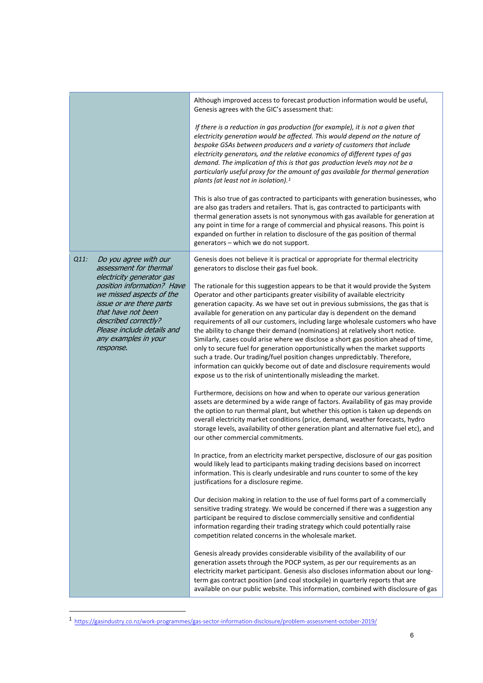|      |                                                                                                                                                                                                                                         | Although improved access to forecast production information would be useful,<br>Genesis agrees with the GIC's assessment that:                                                                                                                                                                                                                                                                                                                                                                                                                                                                                                                                                                                                                                                                                                                                                                             |
|------|-----------------------------------------------------------------------------------------------------------------------------------------------------------------------------------------------------------------------------------------|------------------------------------------------------------------------------------------------------------------------------------------------------------------------------------------------------------------------------------------------------------------------------------------------------------------------------------------------------------------------------------------------------------------------------------------------------------------------------------------------------------------------------------------------------------------------------------------------------------------------------------------------------------------------------------------------------------------------------------------------------------------------------------------------------------------------------------------------------------------------------------------------------------|
|      |                                                                                                                                                                                                                                         | If there is a reduction in gas production (for example), it is not a given that<br>electricity generation would be affected. This would depend on the nature of<br>bespoke GSAs between producers and a variety of customers that include<br>electricity generators, and the relative economics of different types of gas<br>demand. The implication of this is that gas production levels may not be a<br>particularly useful proxy for the amount of gas available for thermal generation<br>plants (at least not in isolation). <sup>1</sup>                                                                                                                                                                                                                                                                                                                                                            |
|      |                                                                                                                                                                                                                                         | This is also true of gas contracted to participants with generation businesses, who<br>are also gas traders and retailers. That is, gas contracted to participants with<br>thermal generation assets is not synonymous with gas available for generation at<br>any point in time for a range of commercial and physical reasons. This point is<br>expanded on further in relation to disclosure of the gas position of thermal<br>generators - which we do not support.                                                                                                                                                                                                                                                                                                                                                                                                                                    |
| Q11: | Do you agree with our<br>assessment for thermal                                                                                                                                                                                         | Genesis does not believe it is practical or appropriate for thermal electricity<br>generators to disclose their gas fuel book.                                                                                                                                                                                                                                                                                                                                                                                                                                                                                                                                                                                                                                                                                                                                                                             |
|      | electricity generator gas<br>position information? Have<br>we missed aspects of the<br><i>issue or are there parts</i><br>that have not been<br>described correctly?<br>Please include details and<br>any examples in your<br>response. | The rationale for this suggestion appears to be that it would provide the System<br>Operator and other participants greater visibility of available electricity<br>generation capacity. As we have set out in previous submissions, the gas that is<br>available for generation on any particular day is dependent on the demand<br>requirements of all our customers, including large wholesale customers who have<br>the ability to change their demand (nominations) at relatively short notice.<br>Similarly, cases could arise where we disclose a short gas position ahead of time,<br>only to secure fuel for generation opportunistically when the market supports<br>such a trade. Our trading/fuel position changes unpredictably. Therefore,<br>information can quickly become out of date and disclosure requirements would<br>expose us to the risk of unintentionally misleading the market. |
|      |                                                                                                                                                                                                                                         | Furthermore, decisions on how and when to operate our various generation<br>assets are determined by a wide range of factors. Availability of gas may provide<br>the option to run thermal plant, but whether this option is taken up depends on<br>overall electricity market conditions (price, demand, weather forecasts, hydro<br>storage levels, availability of other generation plant and alternative fuel etc), and<br>our other commercial commitments.                                                                                                                                                                                                                                                                                                                                                                                                                                           |
|      |                                                                                                                                                                                                                                         | In practice, from an electricity market perspective, disclosure of our gas position<br>would likely lead to participants making trading decisions based on incorrect<br>information. This is clearly undesirable and runs counter to some of the key<br>justifications for a disclosure regime.                                                                                                                                                                                                                                                                                                                                                                                                                                                                                                                                                                                                            |
|      |                                                                                                                                                                                                                                         | Our decision making in relation to the use of fuel forms part of a commercially<br>sensitive trading strategy. We would be concerned if there was a suggestion any<br>participant be required to disclose commercially sensitive and confidential<br>information regarding their trading strategy which could potentially raise<br>competition related concerns in the wholesale market.                                                                                                                                                                                                                                                                                                                                                                                                                                                                                                                   |
|      |                                                                                                                                                                                                                                         | Genesis already provides considerable visibility of the availability of our<br>generation assets through the POCP system, as per our requirements as an<br>electricity market participant. Genesis also discloses information about our long-<br>term gas contract position (and coal stockpile) in quarterly reports that are<br>available on our public website. This information, combined with disclosure of gas                                                                                                                                                                                                                                                                                                                                                                                                                                                                                       |

<span id="page-5-0"></span><sup>1</sup> <https://gasindustry.co.nz/work-programmes/gas-sector-information-disclosure/problem-assessment-october-2019/>